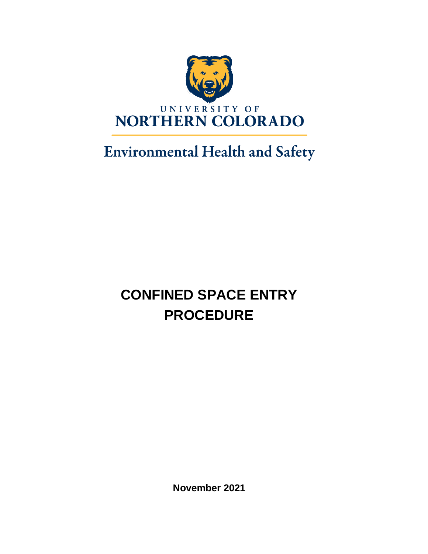

# **Environmental Health and Safety**

# **CONFINED SPACE ENTRY PROCEDURE**

**November 2021**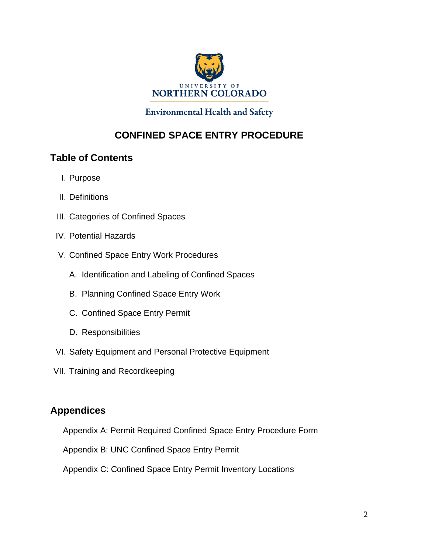

#### **Environmental Health and Safety**

### **CONFINED SPACE ENTRY PROCEDURE**

### **Table of Contents**

- I. Purpose
- II. Definitions
- III. Categories of Confined Spaces
- IV. Potential Hazards
- V. Confined Space Entry Work Procedures
	- A. Identification and Labeling of Confined Spaces
	- B. Planning Confined Space Entry Work
	- C. Confined Space Entry Permit
	- D. Responsibilities
- VI. Safety Equipment and Personal Protective Equipment
- VII. Training and Recordkeeping

### **Appendices**

- Appendix A: Permit Required Confined Space Entry Procedure Form
- Appendix B: UNC Confined Space Entry Permit
- Appendix C: Confined Space Entry Permit Inventory Locations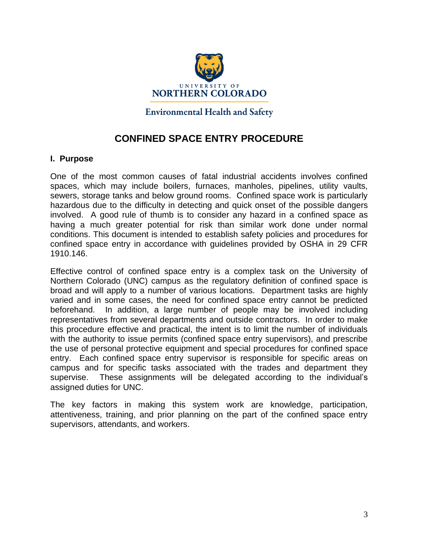

**Environmental Health and Safety** 

### **CONFINED SPACE ENTRY PROCEDURE**

#### **I. Purpose**

One of the most common causes of fatal industrial accidents involves confined spaces, which may include boilers, furnaces, manholes, pipelines, utility vaults, sewers, storage tanks and below ground rooms. Confined space work is particularly hazardous due to the difficulty in detecting and quick onset of the possible dangers involved. A good rule of thumb is to consider any hazard in a confined space as having a much greater potential for risk than similar work done under normal conditions. This document is intended to establish safety policies and procedures for confined space entry in accordance with guidelines provided by OSHA in 29 CFR 1910.146.

Effective control of confined space entry is a complex task on the University of Northern Colorado (UNC) campus as the regulatory definition of confined space is broad and will apply to a number of various locations. Department tasks are highly varied and in some cases, the need for confined space entry cannot be predicted beforehand. In addition, a large number of people may be involved including representatives from several departments and outside contractors. In order to make this procedure effective and practical, the intent is to limit the number of individuals with the authority to issue permits (confined space entry supervisors), and prescribe the use of personal protective equipment and special procedures for confined space entry. Each confined space entry supervisor is responsible for specific areas on campus and for specific tasks associated with the trades and department they supervise. These assignments will be delegated according to the individual's assigned duties for UNC.

The key factors in making this system work are knowledge, participation, attentiveness, training, and prior planning on the part of the confined space entry supervisors, attendants, and workers.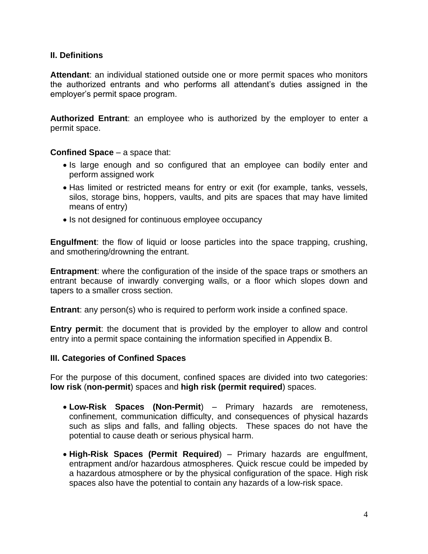#### **II. Definitions**

**Attendant**: an individual stationed outside one or more permit spaces who monitors the authorized entrants and who performs all attendant's duties assigned in the employer's permit space program.

**Authorized Entrant**: an employee who is authorized by the employer to enter a permit space.

#### **Confined Space** – a space that:

- Is large enough and so configured that an employee can bodily enter and perform assigned work
- Has limited or restricted means for entry or exit (for example, tanks, vessels, silos, storage bins, hoppers, vaults, and pits are spaces that may have limited means of entry)
- Is not designed for continuous employee occupancy

**Engulfment**: the flow of liquid or loose particles into the space trapping, crushing, and smothering/drowning the entrant.

**Entrapment**: where the configuration of the inside of the space traps or smothers an entrant because of inwardly converging walls, or a floor which slopes down and tapers to a smaller cross section.

**Entrant**: any person(s) who is required to perform work inside a confined space.

**Entry permit**: the document that is provided by the employer to allow and control entry into a permit space containing the information specified in Appendix B.

#### **III. Categories of Confined Spaces**

For the purpose of this document, confined spaces are divided into two categories: **low risk** (**non-permit**) spaces and **high risk (permit required**) spaces.

- **Low-Risk Spaces (Non-Permit**) Primary hazards are remoteness, confinement, communication difficulty, and consequences of physical hazards such as slips and falls, and falling objects. These spaces do not have the potential to cause death or serious physical harm.
- **High-Risk Spaces (Permit Required**) Primary hazards are engulfment, entrapment and/or hazardous atmospheres. Quick rescue could be impeded by a hazardous atmosphere or by the physical configuration of the space. High risk spaces also have the potential to contain any hazards of a low-risk space.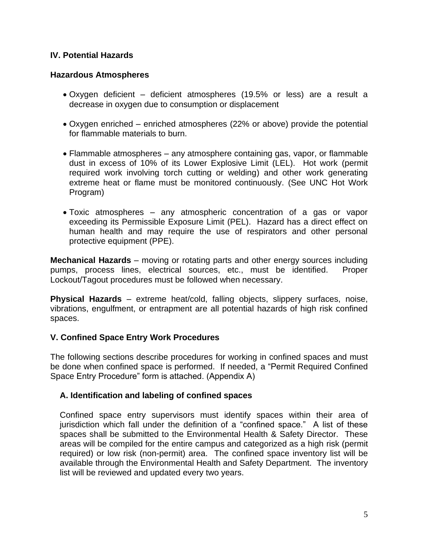#### **IV. Potential Hazards**

#### **Hazardous Atmospheres**

- Oxygen deficient deficient atmospheres (19.5% or less) are a result a decrease in oxygen due to consumption or displacement
- Oxygen enriched enriched atmospheres (22% or above) provide the potential for flammable materials to burn.
- Flammable atmospheres any atmosphere containing gas, vapor, or flammable dust in excess of 10% of its Lower Explosive Limit (LEL). Hot work (permit required work involving torch cutting or welding) and other work generating extreme heat or flame must be monitored continuously. (See UNC Hot Work Program)
- Toxic atmospheres any atmospheric concentration of a gas or vapor exceeding its Permissible Exposure Limit (PEL). Hazard has a direct effect on human health and may require the use of respirators and other personal protective equipment (PPE).

**Mechanical Hazards** – moving or rotating parts and other energy sources including pumps, process lines, electrical sources, etc., must be identified. Proper Lockout/Tagout procedures must be followed when necessary.

**Physical Hazards** – extreme heat/cold, falling objects, slippery surfaces, noise, vibrations, engulfment, or entrapment are all potential hazards of high risk confined spaces.

#### **V. Confined Space Entry Work Procedures**

The following sections describe procedures for working in confined spaces and must be done when confined space is performed. If needed, a "Permit Required Confined Space Entry Procedure" form is attached. (Appendix A)

#### **A. Identification and labeling of confined spaces**

Confined space entry supervisors must identify spaces within their area of jurisdiction which fall under the definition of a "confined space." A list of these spaces shall be submitted to the Environmental Health & Safety Director. These areas will be compiled for the entire campus and categorized as a high risk (permit required) or low risk (non-permit) area. The confined space inventory list will be available through the Environmental Health and Safety Department. The inventory list will be reviewed and updated every two years.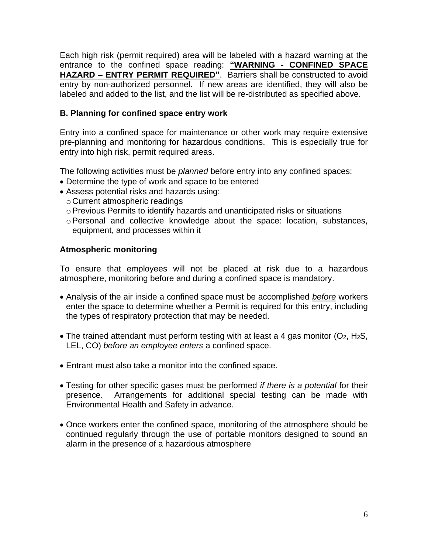Each high risk (permit required) area will be labeled with a hazard warning at the entrance to the confined space reading: **"WARNING - CONFINED SPACE HAZARD – ENTRY PERMIT REQUIRED"**. Barriers shall be constructed to avoid entry by non-authorized personnel. If new areas are identified, they will also be labeled and added to the list, and the list will be re-distributed as specified above.

#### **B. Planning for confined space entry work**

Entry into a confined space for maintenance or other work may require extensive pre-planning and monitoring for hazardous conditions. This is especially true for entry into high risk, permit required areas.

The following activities must be *planned* before entry into any confined spaces:

- Determine the type of work and space to be entered
- Assess potential risks and hazards using:
	- o Current atmospheric readings
	- $\circ$  Previous Permits to identify hazards and unanticipated risks or situations
	- oPersonal and collective knowledge about the space: location, substances, equipment, and processes within it

#### **Atmospheric monitoring**

To ensure that employees will not be placed at risk due to a hazardous atmosphere, monitoring before and during a confined space is mandatory.

- Analysis of the air inside a confined space must be accomplished *before* workers enter the space to determine whether a Permit is required for this entry, including the types of respiratory protection that may be needed.
- The trained attendant must perform testing with at least a 4 gas monitor ( $O_2$ , H<sub>2</sub>S, LEL, CO) *before an employee enters* a confined space.
- Entrant must also take a monitor into the confined space.
- Testing for other specific gases must be performed *if there is a potential* for their presence. Arrangements for additional special testing can be made with Environmental Health and Safety in advance.
- Once workers enter the confined space, monitoring of the atmosphere should be continued regularly through the use of portable monitors designed to sound an alarm in the presence of a hazardous atmosphere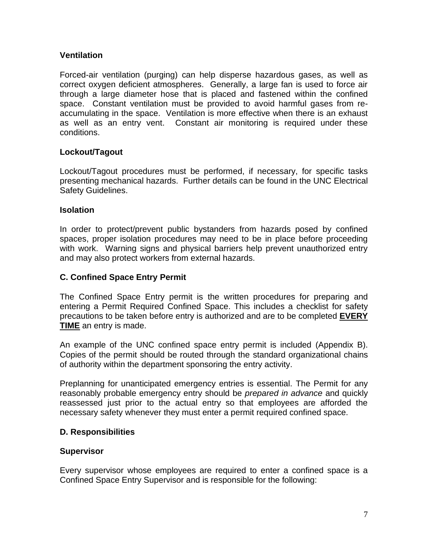#### **Ventilation**

Forced-air ventilation (purging) can help disperse hazardous gases, as well as correct oxygen deficient atmospheres. Generally, a large fan is used to force air through a large diameter hose that is placed and fastened within the confined space. Constant ventilation must be provided to avoid harmful gases from reaccumulating in the space. Ventilation is more effective when there is an exhaust as well as an entry vent. Constant air monitoring is required under these conditions.

#### **Lockout/Tagout**

Lockout/Tagout procedures must be performed, if necessary, for specific tasks presenting mechanical hazards. Further details can be found in the UNC Electrical Safety Guidelines.

#### **Isolation**

In order to protect/prevent public bystanders from hazards posed by confined spaces, proper isolation procedures may need to be in place before proceeding with work. Warning signs and physical barriers help prevent unauthorized entry and may also protect workers from external hazards.

#### **C. Confined Space Entry Permit**

The Confined Space Entry permit is the written procedures for preparing and entering a Permit Required Confined Space. This includes a checklist for safety precautions to be taken before entry is authorized and are to be completed **EVERY TIME** an entry is made.

An example of the UNC confined space entry permit is included (Appendix B). Copies of the permit should be routed through the standard organizational chains of authority within the department sponsoring the entry activity.

Preplanning for unanticipated emergency entries is essential. The Permit for any reasonably probable emergency entry should be *prepared in advance* and quickly reassessed just prior to the actual entry so that employees are afforded the necessary safety whenever they must enter a permit required confined space.

#### **D. Responsibilities**

#### **Supervisor**

Every supervisor whose employees are required to enter a confined space is a Confined Space Entry Supervisor and is responsible for the following: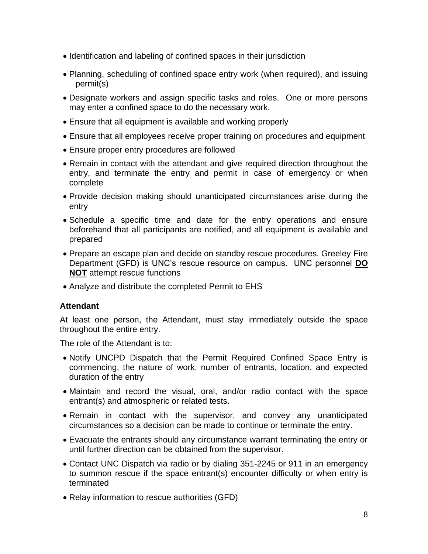- Identification and labeling of confined spaces in their jurisdiction
- Planning, scheduling of confined space entry work (when required), and issuing permit(s)
- Designate workers and assign specific tasks and roles. One or more persons may enter a confined space to do the necessary work.
- Ensure that all equipment is available and working properly
- Ensure that all employees receive proper training on procedures and equipment
- Ensure proper entry procedures are followed
- Remain in contact with the attendant and give required direction throughout the entry, and terminate the entry and permit in case of emergency or when complete
- Provide decision making should unanticipated circumstances arise during the entry
- Schedule a specific time and date for the entry operations and ensure beforehand that all participants are notified, and all equipment is available and prepared
- Prepare an escape plan and decide on standby rescue procedures. Greeley Fire Department (GFD) is UNC's rescue resource on campus. UNC personnel **DO NOT** attempt rescue functions
- Analyze and distribute the completed Permit to EHS

#### **Attendant**

At least one person, the Attendant, must stay immediately outside the space throughout the entire entry.

The role of the Attendant is to:

- Notify UNCPD Dispatch that the Permit Required Confined Space Entry is commencing, the nature of work, number of entrants, location, and expected duration of the entry
- Maintain and record the visual, oral, and/or radio contact with the space entrant(s) and atmospheric or related tests.
- Remain in contact with the supervisor, and convey any unanticipated circumstances so a decision can be made to continue or terminate the entry.
- Evacuate the entrants should any circumstance warrant terminating the entry or until further direction can be obtained from the supervisor.
- Contact UNC Dispatch via radio or by dialing 351-2245 or 911 in an emergency to summon rescue if the space entrant(s) encounter difficulty or when entry is terminated
- Relay information to rescue authorities (GFD)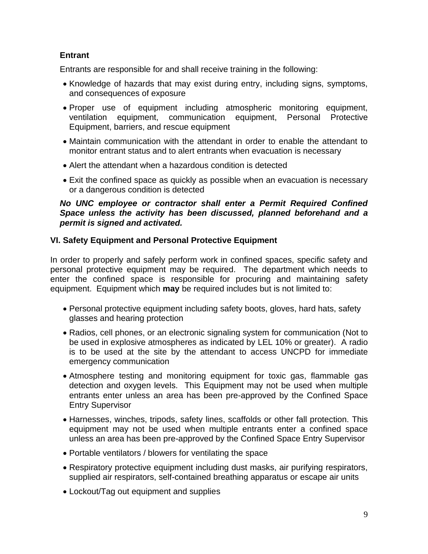#### **Entrant**

Entrants are responsible for and shall receive training in the following:

- Knowledge of hazards that may exist during entry, including signs, symptoms, and consequences of exposure
- Proper use of equipment including atmospheric monitoring equipment, ventilation equipment, communication equipment, Personal Protective Equipment, barriers, and rescue equipment
- Maintain communication with the attendant in order to enable the attendant to monitor entrant status and to alert entrants when evacuation is necessary
- Alert the attendant when a hazardous condition is detected
- Exit the confined space as quickly as possible when an evacuation is necessary or a dangerous condition is detected

#### *No UNC employee or contractor shall enter a Permit Required Confined Space unless the activity has been discussed, planned beforehand and a permit is signed and activated.*

#### **VI. Safety Equipment and Personal Protective Equipment**

In order to properly and safely perform work in confined spaces, specific safety and personal protective equipment may be required. The department which needs to enter the confined space is responsible for procuring and maintaining safety equipment. Equipment which **may** be required includes but is not limited to:

- Personal protective equipment including safety boots, gloves, hard hats, safety glasses and hearing protection
- Radios, cell phones, or an electronic signaling system for communication (Not to be used in explosive atmospheres as indicated by LEL 10% or greater). A radio is to be used at the site by the attendant to access UNCPD for immediate emergency communication
- Atmosphere testing and monitoring equipment for toxic gas, flammable gas detection and oxygen levels. This Equipment may not be used when multiple entrants enter unless an area has been pre-approved by the Confined Space Entry Supervisor
- Harnesses, winches, tripods, safety lines, scaffolds or other fall protection. This equipment may not be used when multiple entrants enter a confined space unless an area has been pre-approved by the Confined Space Entry Supervisor
- Portable ventilators / blowers for ventilating the space
- Respiratory protective equipment including dust masks, air purifying respirators, supplied air respirators, self-contained breathing apparatus or escape air units
- Lockout/Tag out equipment and supplies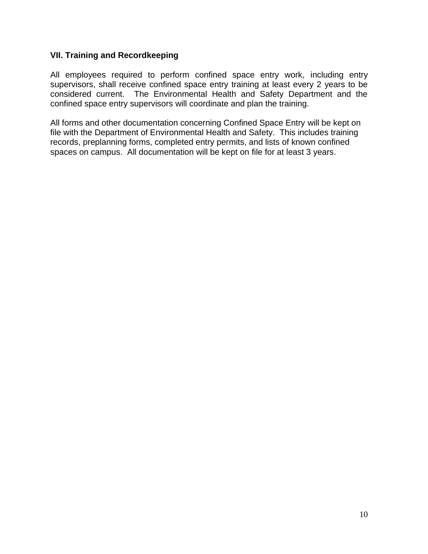#### **VII. Training and Recordkeeping**

All employees required to perform confined space entry work, including entry supervisors, shall receive confined space entry training at least every 2 years to be considered current. The Environmental Health and Safety Department and the confined space entry supervisors will coordinate and plan the training.

All forms and other documentation concerning Confined Space Entry will be kept on file with the Department of Environmental Health and Safety. This includes training records, preplanning forms, completed entry permits, and lists of known confined spaces on campus. All documentation will be kept on file for at least 3 years.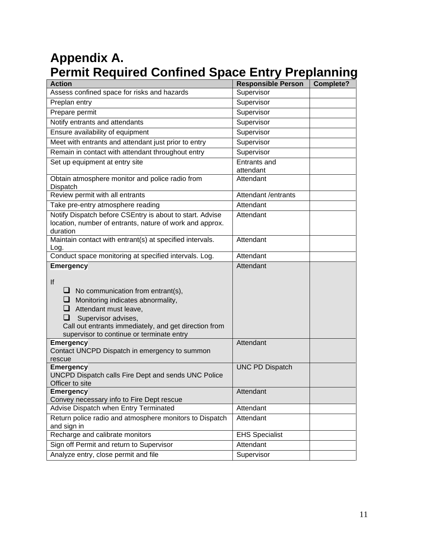# **Appendix A. Permit Required Confined Space Entry Preplanning**

| <b>Action</b>                                                                                                                                                                                                                                            | <b>Responsible Person</b> | Complete? |
|----------------------------------------------------------------------------------------------------------------------------------------------------------------------------------------------------------------------------------------------------------|---------------------------|-----------|
| Assess confined space for risks and hazards                                                                                                                                                                                                              | Supervisor                |           |
| Preplan entry                                                                                                                                                                                                                                            | Supervisor                |           |
| Prepare permit                                                                                                                                                                                                                                           | Supervisor                |           |
| Notify entrants and attendants                                                                                                                                                                                                                           | Supervisor                |           |
| Ensure availability of equipment                                                                                                                                                                                                                         | Supervisor                |           |
| Meet with entrants and attendant just prior to entry                                                                                                                                                                                                     | Supervisor                |           |
| Remain in contact with attendant throughout entry                                                                                                                                                                                                        | Supervisor                |           |
| Set up equipment at entry site                                                                                                                                                                                                                           | Entrants and<br>attendant |           |
| Obtain atmosphere monitor and police radio from<br>Dispatch                                                                                                                                                                                              | Attendant                 |           |
| Review permit with all entrants                                                                                                                                                                                                                          | Attendant /entrants       |           |
| Take pre-entry atmosphere reading                                                                                                                                                                                                                        | Attendant                 |           |
| Notify Dispatch before CSEntry is about to start. Advise<br>location, number of entrants, nature of work and approx.<br>duration                                                                                                                         | Attendant                 |           |
| Maintain contact with entrant(s) at specified intervals.<br>Log.                                                                                                                                                                                         | Attendant                 |           |
| Conduct space monitoring at specified intervals. Log.                                                                                                                                                                                                    | Attendant                 |           |
| lf<br>$\Box$ No communication from entrant(s),<br>Monitoring indicates abnormality,<br>⊔<br>Attendant must leave,<br>⊔<br>Supervisor advises,<br>⊔<br>Call out entrants immediately, and get direction from<br>supervisor to continue or terminate entry |                           |           |
| <b>Emergency</b><br>Contact UNCPD Dispatch in emergency to summon<br>rescue                                                                                                                                                                              | Attendant                 |           |
| <b>Emergency</b><br>UNCPD Dispatch calls Fire Dept and sends UNC Police<br>Officer to site                                                                                                                                                               | <b>UNC PD Dispatch</b>    |           |
| <b>Emergency</b><br>Convey necessary info to Fire Dept rescue                                                                                                                                                                                            | Attendant                 |           |
| Advise Dispatch when Entry Terminated                                                                                                                                                                                                                    | Attendant                 |           |
| Return police radio and atmosphere monitors to Dispatch<br>and sign in                                                                                                                                                                                   | Attendant                 |           |
| Recharge and calibrate monitors                                                                                                                                                                                                                          | <b>EHS Specialist</b>     |           |
| Sign off Permit and return to Supervisor                                                                                                                                                                                                                 | Attendant                 |           |
| Analyze entry, close permit and file                                                                                                                                                                                                                     | Supervisor                |           |
|                                                                                                                                                                                                                                                          |                           |           |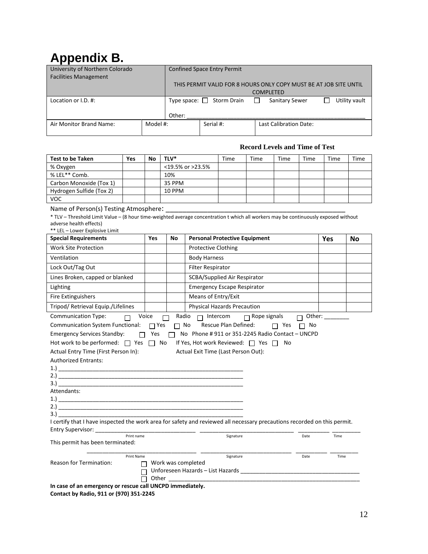# **Appendix B.**

| University of Northern Colorado<br><b>Facilities Management</b> |          | <b>Confined Space Entry Permit</b>                                |                                |        |                               |  |               |
|-----------------------------------------------------------------|----------|-------------------------------------------------------------------|--------------------------------|--------|-------------------------------|--|---------------|
|                                                                 |          | THIS PERMIT VALID FOR 8 HOURS ONLY COPY MUST BE AT JOB SITE UNTIL |                                |        |                               |  |               |
|                                                                 |          | <b>COMPLETED</b>                                                  |                                |        |                               |  |               |
| Location or I.D. #:                                             |          |                                                                   | Type space: $\Box$ Storm Drain | $\Box$ | Sanitary Sewer                |  | Utility vault |
|                                                                 |          | Other:                                                            |                                |        |                               |  |               |
| Air Monitor Brand Name:                                         | Model #: |                                                                   | Serial #:                      |        | <b>Last Calibration Date:</b> |  |               |

#### **Record Levels and Time of Test**

| <b>Test to be Taken</b>                                                                                                                                                                                                                                                                                                                                                         | Yes                             | No                       | TLV*           |                                                                                                                                 | Time | Time                            | Time | Time      | Time | Time |
|---------------------------------------------------------------------------------------------------------------------------------------------------------------------------------------------------------------------------------------------------------------------------------------------------------------------------------------------------------------------------------|---------------------------------|--------------------------|----------------|---------------------------------------------------------------------------------------------------------------------------------|------|---------------------------------|------|-----------|------|------|
| % Oxygen                                                                                                                                                                                                                                                                                                                                                                        |                                 |                          |                | <19.5% or >23.5%                                                                                                                |      |                                 |      |           |      |      |
| % LEL** Comb.                                                                                                                                                                                                                                                                                                                                                                   |                                 |                          | 10%            |                                                                                                                                 |      |                                 |      |           |      |      |
| Carbon Monoxide (Tox 1)                                                                                                                                                                                                                                                                                                                                                         |                                 |                          | 35 PPM         |                                                                                                                                 |      |                                 |      |           |      |      |
| Hydrogen Sulfide (Tox 2)                                                                                                                                                                                                                                                                                                                                                        |                                 |                          | <b>10 PPM</b>  |                                                                                                                                 |      |                                 |      |           |      |      |
| <b>VOC</b>                                                                                                                                                                                                                                                                                                                                                                      |                                 |                          |                |                                                                                                                                 |      |                                 |      |           |      |      |
| Name of Person(s) Testing Atmosphere:<br>* TLV - Threshold Limit Value - (8 hour time-weighted average concentration t which all workers may be continuously exposed without<br>adverse health effects)<br>** LEL - Lower Explosive Limit<br><b>Special Requirements</b>                                                                                                        |                                 | Yes                      | No             | <b>Personal Protective Equipment</b>                                                                                            |      |                                 |      |           |      |      |
|                                                                                                                                                                                                                                                                                                                                                                                 |                                 |                          |                |                                                                                                                                 |      |                                 |      |           | Yes  | No   |
| <b>Work Site Protection</b>                                                                                                                                                                                                                                                                                                                                                     |                                 |                          |                | <b>Protective Clothing</b>                                                                                                      |      |                                 |      |           |      |      |
| Ventilation                                                                                                                                                                                                                                                                                                                                                                     |                                 |                          |                | <b>Body Harness</b>                                                                                                             |      |                                 |      |           |      |      |
| Lock Out/Tag Out                                                                                                                                                                                                                                                                                                                                                                |                                 |                          |                | <b>Filter Respirator</b>                                                                                                        |      |                                 |      |           |      |      |
| Lines Broken, capped or blanked                                                                                                                                                                                                                                                                                                                                                 |                                 |                          |                | SCBA/Supplied Air Respirator                                                                                                    |      |                                 |      |           |      |      |
| Lighting                                                                                                                                                                                                                                                                                                                                                                        |                                 |                          |                | <b>Emergency Escape Respirator</b>                                                                                              |      |                                 |      |           |      |      |
| Fire Extinguishers                                                                                                                                                                                                                                                                                                                                                              |                                 |                          |                | Means of Entry/Exit                                                                                                             |      |                                 |      |           |      |      |
| Tripod/ Retrieval Equip./Lifelines                                                                                                                                                                                                                                                                                                                                              |                                 |                          |                | <b>Physical Hazards Precaution</b>                                                                                              |      |                                 |      |           |      |      |
| Communication System Functional:<br><b>Emergency Services Standby:</b><br>Hot work to be performed: 7 Yes 7 No<br>Actual Entry Time (First Person In):<br>Authorized Entrants:<br>$1.$ )<br>3.)<br>Attendants:<br>3.<br>I certify that I have inspected the work area for safety and reviewed all necessary precautions recorded on this permit.<br>Entry Supervisor: _________ |                                 | $\Box$ Yes<br>$\Box$ Yes | $\Box$ No<br>П | No Phone #911 or 351-2245 Radio Contact - UNCPD<br>If Yes, Hot work Reviewed: □ Yes □ No<br>Actual Exit Time (Last Person Out): |      | Rescue Plan Defined: $\Box$ Yes |      | $\Box$ No |      |      |
|                                                                                                                                                                                                                                                                                                                                                                                 | Print name<br>Signature<br>Date |                          |                |                                                                                                                                 |      |                                 | Time |           |      |      |
| This permit has been terminated:                                                                                                                                                                                                                                                                                                                                                |                                 |                          |                |                                                                                                                                 |      |                                 |      |           |      |      |
| Print Name<br>Signature<br>Date<br>Time<br><b>Reason for Termination:</b><br>Work was completed<br>П<br>$\Box$ Other ________<br>In case of an emergency or rescue call UNCPD immediately.<br>Contact by Radio, 911 or (970) 351-2245                                                                                                                                           |                                 |                          |                |                                                                                                                                 |      |                                 |      |           |      |      |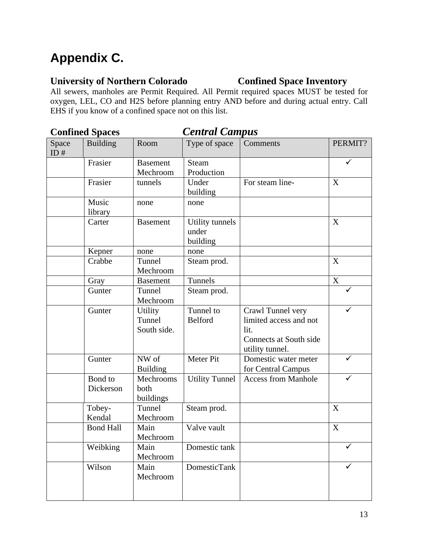# **Appendix C.**

## **University of Northern Colorado Confined Space Inventory**

All sewers, manholes are Permit Required. All Permit required spaces MUST be tested for oxygen, LEL, CO and H2S before planning entry AND before and during actual entry. Call EHS if you know of a confined space not on this list.

| <b>Confined Spaces</b> |                      | <b>Central Campus</b>            |                                      |                                                                                                  |             |  |
|------------------------|----------------------|----------------------------------|--------------------------------------|--------------------------------------------------------------------------------------------------|-------------|--|
| Space<br>ID#           | <b>Building</b>      | Room                             | Type of space                        | Comments                                                                                         | PERMIT?     |  |
|                        | Frasier              | <b>Basement</b><br>Mechroom      | <b>Steam</b><br>Production           |                                                                                                  |             |  |
|                        | Frasier              | tunnels                          | Under<br>building                    | For steam line-                                                                                  | X           |  |
|                        | Music<br>library     | none                             | none                                 |                                                                                                  |             |  |
|                        | Carter               | <b>Basement</b>                  | Utility tunnels<br>under<br>building |                                                                                                  | X           |  |
|                        | Kepner               | none                             | none                                 |                                                                                                  |             |  |
|                        | Crabbe               | Tunnel<br>Mechroom               | Steam prod.                          |                                                                                                  | X           |  |
|                        | Gray                 | <b>Basement</b>                  | Tunnels                              |                                                                                                  | $\mathbf X$ |  |
|                        | Gunter               | Tunnel<br>Mechroom               | Steam prod.                          |                                                                                                  | ✓           |  |
|                        | Gunter               | Utility<br>Tunnel<br>South side. | Tunnel to<br><b>Belford</b>          | Crawl Tunnel very<br>limited access and not<br>lit.<br>Connects at South side<br>utility tunnel. |             |  |
|                        | Gunter               | NW of<br><b>Building</b>         | Meter Pit                            | Domestic water meter<br>for Central Campus                                                       | ✓           |  |
|                        | Bond to<br>Dickerson | Mechrooms<br>both<br>buildings   | <b>Utility Tunnel</b>                | <b>Access from Manhole</b>                                                                       |             |  |
|                        | Tobey-<br>Kendal     | Tunnel<br>Mechroom               | Steam prod.                          |                                                                                                  | X           |  |
|                        | <b>Bond Hall</b>     | Main<br>Mechroom                 | Valve vault                          |                                                                                                  | X           |  |
|                        | Weibking             | Main<br>Mechroom                 | Domestic tank                        |                                                                                                  |             |  |
|                        | Wilson               | Main<br>Mechroom                 | <b>DomesticTank</b>                  |                                                                                                  |             |  |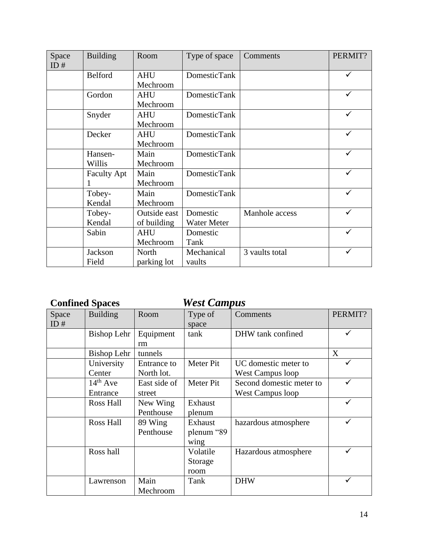| Space | <b>Building</b>    | Room         | Type of space       | Comments       | PERMIT? |
|-------|--------------------|--------------|---------------------|----------------|---------|
| ID#   |                    |              |                     |                |         |
|       | <b>Belford</b>     | <b>AHU</b>   | <b>DomesticTank</b> |                |         |
|       |                    | Mechroom     |                     |                |         |
|       | Gordon             | <b>AHU</b>   | <b>DomesticTank</b> |                |         |
|       |                    | Mechroom     |                     |                |         |
|       | Snyder             | <b>AHU</b>   | <b>DomesticTank</b> |                |         |
|       |                    | Mechroom     |                     |                |         |
|       | Decker             | <b>AHU</b>   | <b>DomesticTank</b> |                |         |
|       |                    | Mechroom     |                     |                |         |
|       | Hansen-            | Main         | <b>DomesticTank</b> |                |         |
|       | Willis             | Mechroom     |                     |                |         |
|       | <b>Faculty Apt</b> | Main         | <b>DomesticTank</b> |                |         |
|       |                    | Mechroom     |                     |                |         |
|       | Tobey-             | Main         | <b>DomesticTank</b> |                | ✓       |
|       | Kendal             | Mechroom     |                     |                |         |
|       | Tobey-             | Outside east | Domestic            | Manhole access |         |
|       | Kendal             | of building  | Water Meter         |                |         |
|       | Sabin              | <b>AHU</b>   | Domestic            |                | ✓       |
|       |                    | Mechroom     | Tank                |                |         |
|       | Jackson            | North        | Mechanical          | 3 vaults total | ✓       |
|       | Field              | parking lot  | vaults              |                |         |

## **Confined Spaces** *West Campus*

| Space  | <b>Building</b>    | Room         | Type of    | Comments                 | PERMIT? |
|--------|--------------------|--------------|------------|--------------------------|---------|
| ID $#$ |                    |              | space      |                          |         |
|        | <b>Bishop Lehr</b> | Equipment    | tank       | DHW tank confined        |         |
|        |                    | rm           |            |                          |         |
|        | Bishop Lehr        | tunnels      |            |                          | X       |
|        | University         | Entrance to  | Meter Pit  | UC domestic meter to     |         |
|        | Center             | North lot.   |            | <b>West Campus loop</b>  |         |
|        | $14th$ Ave         | East side of | Meter Pit  | Second domestic meter to |         |
|        | Entrance           | street       |            | <b>West Campus loop</b>  |         |
|        | <b>Ross Hall</b>   | New Wing     | Exhaust    |                          |         |
|        |                    | Penthouse    | plenum     |                          |         |
|        | Ross Hall          | 89 Wing      | Exhaust    | hazardous atmosphere     |         |
|        |                    | Penthouse    | plenum "89 |                          |         |
|        |                    |              | wing       |                          |         |
|        | Ross hall          |              | Volatile   | Hazardous atmosphere     |         |
|        |                    |              | Storage    |                          |         |
|        |                    |              | room       |                          |         |
|        | Lawrenson          | Main         | Tank       | <b>DHW</b>               |         |
|        |                    | Mechroom     |            |                          |         |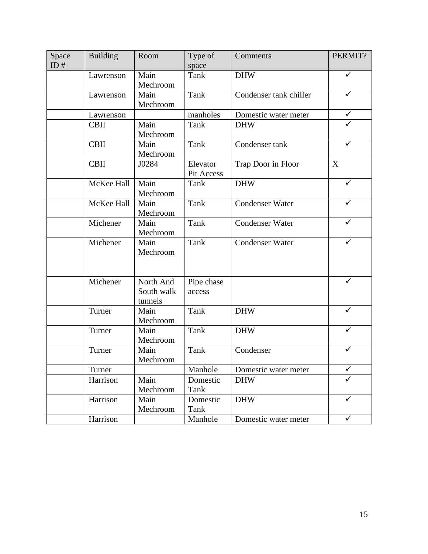| Space  | <b>Building</b> | Room       | Type of    | Comments               | PERMIT?      |
|--------|-----------------|------------|------------|------------------------|--------------|
| ID $#$ |                 |            | space      |                        |              |
|        | Lawrenson       | Main       | Tank       | <b>DHW</b>             | ✓            |
|        |                 | Mechroom   |            |                        |              |
|        | Lawrenson       | Main       | Tank       | Condenser tank chiller | $\checkmark$ |
|        |                 | Mechroom   |            |                        |              |
|        | Lawrenson       |            | manholes   | Domestic water meter   | ✓            |
|        | <b>CBII</b>     | Main       | Tank       | <b>DHW</b>             | ✓            |
|        |                 | Mechroom   |            |                        |              |
|        | <b>CBII</b>     | Main       | Tank       | Condenser tank         | ✓            |
|        |                 | Mechroom   |            |                        |              |
|        | <b>CBII</b>     | J0284      | Elevator   | Trap Door in Floor     | X            |
|        |                 |            | Pit Access |                        |              |
|        | McKee Hall      | Main       | Tank       | <b>DHW</b>             | ✓            |
|        |                 | Mechroom   |            |                        |              |
|        | McKee Hall      | Main       | Tank       | <b>Condenser Water</b> | ✓            |
|        |                 | Mechroom   |            |                        |              |
|        | Michener        | Main       | Tank       | <b>Condenser Water</b> |              |
|        |                 | Mechroom   |            |                        |              |
|        | Michener        | Main       | Tank       | <b>Condenser Water</b> | ✓            |
|        |                 | Mechroom   |            |                        |              |
|        |                 |            |            |                        |              |
|        |                 |            |            |                        |              |
|        | Michener        | North And  | Pipe chase |                        |              |
|        |                 | South walk | access     |                        |              |
|        |                 | tunnels    |            |                        |              |
|        | Turner          | Main       | Tank       | <b>DHW</b>             |              |
|        |                 | Mechroom   |            |                        |              |
|        | Turner          | Main       | Tank       | <b>DHW</b>             | ✓            |
|        |                 | Mechroom   |            |                        |              |
|        | Turner          | Main       | Tank       | Condenser              |              |
|        |                 | Mechroom   |            |                        |              |
|        | Turner          |            | Manhole    | Domestic water meter   | $\checkmark$ |
|        | Harrison        | Main       | Domestic   | <b>DHW</b>             | ✓            |
|        |                 | Mechroom   | Tank       |                        |              |
|        | Harrison        | Main       | Domestic   | <b>DHW</b>             | $\checkmark$ |
|        |                 | Mechroom   | Tank       |                        |              |
|        | Harrison        |            | Manhole    | Domestic water meter   | $\checkmark$ |